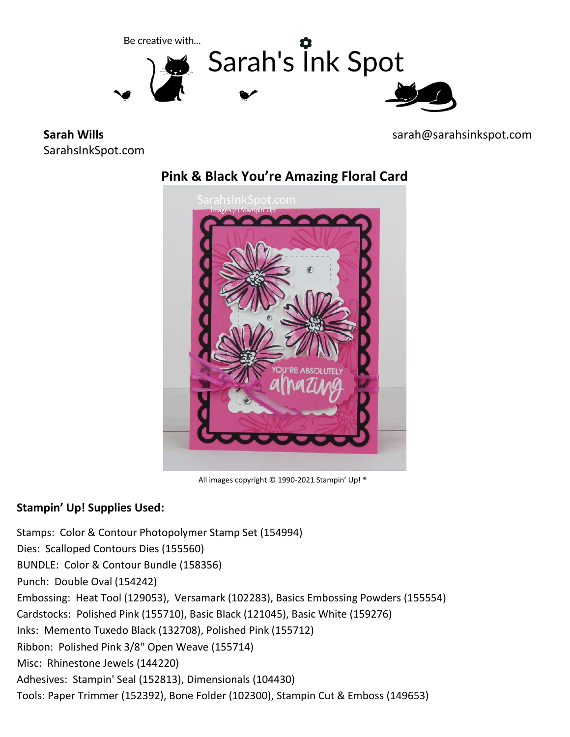

**Sarah Wills** SarahsInkSpot.com sarah@sarahsinkspot.com





All images copyright © 1990-2021 Stampin' Up! ®

## **Stampin' Up! Supplies Used:**

Stamps: Color & Contour Photopolymer Stamp Set (154994) Dies: Scalloped Contours Dies (155560) BUNDLE: Color & Contour Bundle (158356) Punch: Double Oval (154242) Embossing: Heat Tool (129053), Versamark (102283), Basics Embossing Powders (155554) Cardstocks: Polished Pink (155710), Basic Black (121045), Basic White (159276) Inks: Memento Tuxedo Black (132708), Polished Pink (155712) Ribbon: Polished Pink 3/8" Open Weave (155714) Misc: Rhinestone Jewels (144220) Adhesives: Stampin' Seal (152813), Dimensionals (104430) Tools: Paper Trimmer (152392), Bone Folder (102300), Stampin Cut & Emboss (149653)